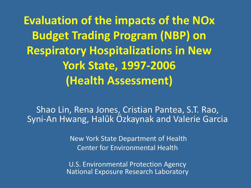**Evaluation of the impacts of the NOx Budget Trading Program (NBP) on Respiratory Hospitalizations in New York State, 1997-2006 (Health Assessment)**

Shao Lin, Rena Jones, Cristian Pantea, S.T. Rao, Syni-An Hwang, Halûk Özkaynak and Valerie Garcia

> New York State Department of Health Center for Environmental Health

U.S. Environmental Protection Agency National Exposure Research Laboratory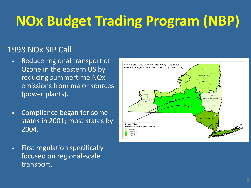# **NOx Budget Trading Program (NBP)**

## 1998 NOx SIP Call

- Reduce regional transport of Ozone in the eastern US by reducing summertime NOx emissions from major sources (power plants).
- Compliance began for some states in 2001; most states by 2004.
- First regulation specifically focused on regional-scale transport.

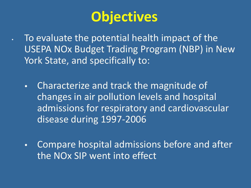# **Objectives**

- To evaluate the potential health impact of the USEPA NOx Budget Trading Program (NBP) in New York State, and specifically to:
	- Characterize and track the magnitude of changes in air pollution levels and hospital admissions for respiratory and cardiovascular disease during 1997-2006
	- Compare hospital admissions before and after the NOx SIP went into effect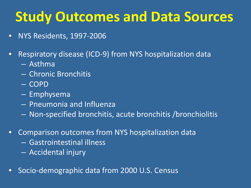# **Study Outcomes and Data Sources**

- NYS Residents, 1997-2006
- Respiratory disease (ICD-9) from NYS hospitalization data
	- Asthma
	- Chronic Bronchitis
	- COPD
	- Emphysema
	- Pneumonia and Influenza
	- Non-specified bronchitis, acute bronchitis /bronchiolitis
- Comparison outcomes from NYS hospitalization data
	- Gastrointestinal illness
	- Accidental injury
- Socio-demographic data from 2000 U.S. Census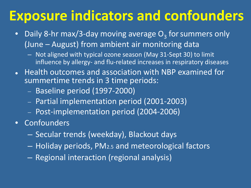# **Exposure indicators and confounders**

- Daily 8-hr max/3-day moving average  $O<sub>3</sub>$  for summers only (June – August) from ambient air monitoring data
	- Not aligned with typical ozone season (May 31-Sept 30) to limit influence by allergy- and flu-related increases in respiratory diseases
- Health outcomes and association with NBP examined for summertime trends in 3 time periods:
	- − Baseline period (1997-2000)
	- − Partial implementation period (2001-2003)
	- − Post-implementation period (2004-2006)
- Confounders
	- Secular trends (weekday), Blackout days
	- Holiday periods, PM2.5 and meteorological factors
	- Regional interaction (regional analysis)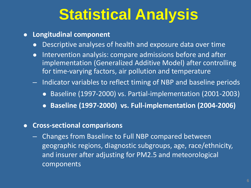# **Statistical Analysis**

### **Longitudinal component**

- Descriptive analyses of health and exposure data over time
- Intervention analysis: compare admissions before and after implementation (Generalized Additive Model) after controlling for time-varying factors, air pollution and temperature
- Indicator variables to reflect timing of NBP and baseline periods
	- Baseline (1997-2000) vs. Partial-implementation (2001-2003)
	- **Baseline (1997-2000) vs. Full-implementation (2004-2006)**

### **Cross-sectional comparisons**

– Changes from Baseline to Full NBP compared between geographic regions, diagnostic subgroups, age, race/ethnicity, and insurer after adjusting for PM2.5 and meteorological components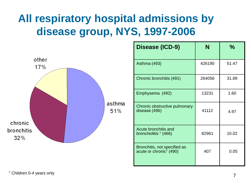## **All respiratory hospital admissions by disease group, NYS, 1997-2006**



| Disease (ICD-9)                                                     | N      | $\frac{0}{2}$ |
|---------------------------------------------------------------------|--------|---------------|
| Asthma (493)                                                        | 426190 | 51.47         |
| Chronic bronchitis (491)                                            | 264056 | 31.89         |
| Emphysema (492)                                                     | 13231  | 1.60          |
| Chronic obstructive pulmonary<br>disease (496)                      | 41112  | 4.97          |
| Acute bronchitis and<br>bronchiolitis $\dagger$ (466)               | 82961  | 10.02         |
| Bronchitis, not specified as<br>acute or chronic <sup>†</sup> (490) | 407    | 0.05          |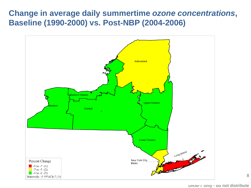## **Change in average daily summertime** *ozone concentrations***, Baseline (1990-2000) vs. Post-NBP (2004-2006)**

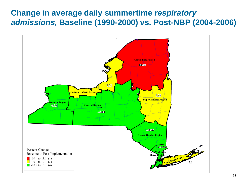## **Change in average daily summertime** *respiratory admissions,* **Baseline (1990-2000) vs. Post-NBP (2004-2006)**

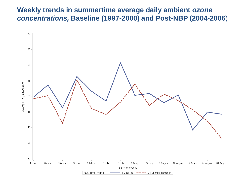#### **Weekly trends in summertime average daily ambient** *ozone concentrations,* **Baseline (1997-2000) and Post-NBP (2004-2006**)

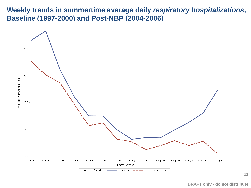#### **Weekly trends in summertime average daily** *respiratory hospitalizations***, Baseline (1997-2000) and Post-NBP (2004-2006)**



**DRAFT only - do not distribute**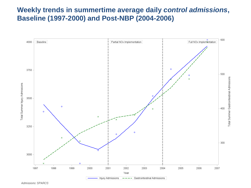### **Weekly trends in summertime average daily** *control admissions***, Baseline (1997-2000) and Post-NBP (2004-2006)**



Admissions: SPARCS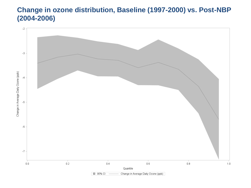### **Change in ozone distribution, Baseline (1997-2000) vs. Post-NBP (2004-2006)**

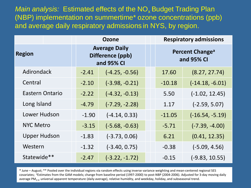*Main analysis:* Estimated effects of the NO<sub>x</sub> Budget Trading Plan (NBP) implementation on summertime\* ozone concentrations (ppb) and average daily respiratory admissions in NYS, by region.

|                     | Ozone                                                  |                  |                                           | <b>Respiratory admissions</b> |
|---------------------|--------------------------------------------------------|------------------|-------------------------------------------|-------------------------------|
| <b>Region</b>       | <b>Average Daily</b><br>Difference (ppb)<br>and 95% CI |                  | Percent Change <sup>a</sup><br>and 95% CI |                               |
| Adirondack          | $-2.41$                                                | $(-4.25, -0.56)$ | 17.60                                     | (8.27, 27.74)                 |
| Central             | $-2.10$                                                | $(-3.98, -0.21)$ | $-10.18$                                  | $(-14.18, -6.01)$             |
| Eastern Ontario     | $-2.22$                                                | $(-4.32, -0.13)$ | 5.50                                      | $(-1.02, 12.45)$              |
| Long Island         | $-4.79$                                                | $(-7.29, -2.28)$ | 1.17                                      | $(-2.59, 5.07)$               |
| Lower Hudson        | $-1.90$                                                | $(-4.14, 0.33)$  | $-11.05$                                  | $(-16.54, -5.19)$             |
| <b>NYC Metro</b>    | $-3.15$                                                | $(-5.68, -0.63)$ | $-5.71$                                   | $(-7.39, -4.00)$              |
| <b>Upper Hudson</b> | $-1.83$                                                | $(-3.73, 0.06)$  | 6.21                                      | (0.41, 12.35)                 |
| Western             | $-1.32$                                                | $(-3.40, 0.75)$  | $-0.38$                                   | $(-5.09, 4.56)$               |
| Statewide**         | $-2.47$                                                | $(-3.22, -1.72)$ | $-0.15$                                   | $(-9.83, 10.55)$              |

\* June – August; \*\* Pooled over the individual regions via random effects using inverse variance weighting and mean-centered regional SES covariates; aEstimates from the GAM models; change from baseline period (1997-2000) to post-NBP (2004-2006). Adjusted for 3-day moving daily average PM<sub>25</sub>, universal apparent temperature (daily average), relative humidity, and weekday, holiday, and subseasonal trend.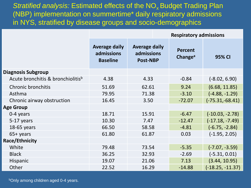*Stratified analysis: Estimated effects of the NO<sub>x</sub> Budget Trading Plan* (NBP) implementation on summertime\* daily respiratory admissions in NYS, stratified by disease groups and socio-demographics

|                                   | <b>Respiratory admissions</b>                         |                                                       |                                       |                    |
|-----------------------------------|-------------------------------------------------------|-------------------------------------------------------|---------------------------------------|--------------------|
|                                   | <b>Average daily</b><br>admissions<br><b>Baseline</b> | <b>Average daily</b><br>admissions<br><b>Post-NBP</b> | <b>Percent</b><br>Change <sup>a</sup> | 95% CI             |
| <b>Diagnosis Subgroup</b>         |                                                       |                                                       |                                       |                    |
| Acute bronchitis & bronchiolitisb | 4.38                                                  | 4.33                                                  | $-0.84$                               | $(-8.02, 6.90)$    |
| Chronic bronchitis                | 51.69                                                 | 62.61                                                 | 9.24                                  | (6.68, 11.85)      |
| Asthma                            | 79.95                                                 | 71.38                                                 | $-3.10$                               | $(-4.88, -1.29)$   |
| Chronic airway obstruction        | 16.45                                                 | 3.50                                                  | $-72.07$                              | $(-75.31,-68.41)$  |
| <b>Age Group</b>                  |                                                       |                                                       |                                       |                    |
| 0-4 years                         | 18.71                                                 | 15.91                                                 | $-6.47$                               | $(-10.03, -2.78)$  |
| 5-17 years                        | 10.30                                                 | 7.47                                                  | $-12.47$                              | $(-17.18, -7.49)$  |
| 18-65 years                       | 66.50                                                 | 58.58                                                 | $-4.81$                               | $(-6.75, -2.84)$   |
| $65+$ years                       | 61.80                                                 | 61.87                                                 | 0.03                                  | $(-1.95, 2.05)$    |
| Race/Ethnicity                    |                                                       |                                                       |                                       |                    |
| White                             | 79.48                                                 | 73.54                                                 | $-5.35$                               | $(-7.07, -3.59)$   |
| <b>Black</b>                      | 36.25                                                 | 32.93                                                 | $-2.69$                               | $(-5.31, 0.01)$    |
| Hispanic                          | 19.07                                                 | 21.06                                                 | 7.13                                  | (3.44, 10.95)      |
| Other                             | 22.52                                                 | 16.29                                                 | $-14.88$                              | $(-18.25, -11.37)$ |

**bOnly among children aged 0-4 years.**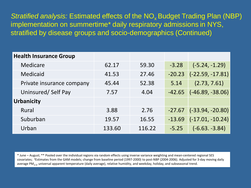*Stratified analysis:* Estimated effects of the NO<sub>x</sub> Budget Trading Plan (NBP) implementation on summertime\* daily respiratory admissions in NYS, stratified by disease groups and socio-demographics (Continued)

| <b>Health Insurance Group</b> |        |        |          |                    |
|-------------------------------|--------|--------|----------|--------------------|
| Medicare                      | 62.17  | 59.30  | $-3.28$  | $(-5.24, -1.29)$   |
| <b>Medicaid</b>               | 41.53  | 27.46  | $-20.23$ | $(-22.59, -17.81)$ |
| Private insurance company     | 45.44  | 52.38  | 5.14     | (2.73, 7.61)       |
| Uninsured/Self Pay            | 7.57   | 4.04   | $-42.65$ | $(-46.89, -38.06)$ |
| <b>Urbanicity</b>             |        |        |          |                    |
| Rural                         | 3.88   | 2.76   | $-27.67$ | $(-33.94, -20.80)$ |
| Suburban                      | 19.57  | 16.55  | $-13.69$ | $(-17.01, -10.24)$ |
| Urban                         | 133.60 | 116.22 | $-5.25$  | $(-6.63. -3.84)$   |

\* June – August; \*\* Pooled over the individual regions via random effects using inverse variance weighting and mean-centered regional SES covariates; aEstimates from the GAM models; change from baseline period (1997-2000) to post-NBP (2004-2006). Adjusted for 3-day moving daily average PM<sub>25</sub>, universal apparent temperature (daily average), relative humidity, and weekday, holiday, and subseasonal trend.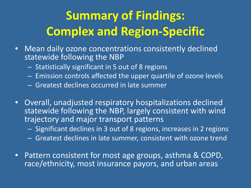# **Summary of Findings: Complex and Region-Specific**

- Mean daily ozone concentrations consistently declined statewide following the NBP
	- Statistically significant in 5 out of 8 regions
	- Emission controls affected the upper quartile of ozone levels
	- Greatest declines occurred in late summer
- Overall, unadjusted respiratory hospitalizations declined statewide following the NBP, largely consistent with wind trajectory and major transport patterns
	- Significant declines in 3 out of 8 regions, increases in 2 regions
	- Greatest declines in late summer, consistent with ozone trend
- Pattern consistent for most age groups, asthma & COPD, race/ethnicity, most insurance payors, and urban areas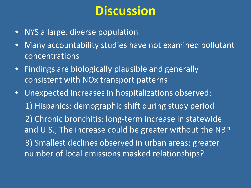## **Discussion**

- NYS a large, diverse population
- Many accountability studies have not examined pollutant concentrations
- Findings are biologically plausible and generally consistent with NOx transport patterns
- Unexpected increases in hospitalizations observed: 1) Hispanics: demographic shift during study period 2) Chronic bronchitis: long-term increase in statewide and U.S.; The increase could be greater without the NBP 3) Smallest declines observed in urban areas: greater number of local emissions masked relationships?